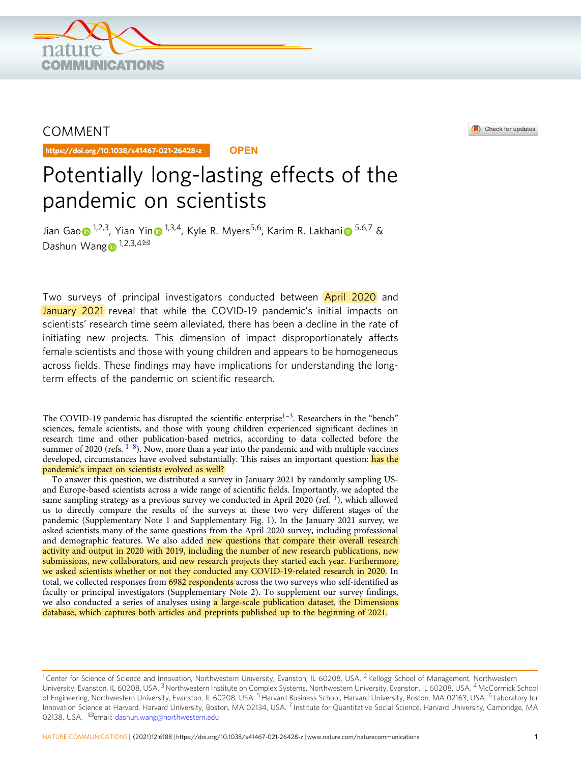

# COMMENT

https://doi.org/10.1038/s41467-021-26428-z **OPEN**



# Potentially long-lasting effects of the pandemic on scientists

Jian Ga[o](http://orcid.org/0000-0001-6659-5770)  $\sqrt{12.3}$ , Yia[n](http://orcid.org/0000-0003-3018-4544) Y[i](http://orcid.org/0000-0002-5535-8304)n  $\sqrt{13.4}$ , Kyle R. Myers<sup>[5](http://orcid.org/0000-0002-5535-8304),6</sup>, Karim R. Lakhani  $\sqrt{5.6}$ ,  $\sqrt{8}$ Dashun Wan[g](http://orcid.org/0000-0002-7054-2206)  $\mathbb{D}^{1,2,3,4}$ 

Two surveys of principal investigators conducted between **April 2020** and January 2021 reveal that while the COVID-19 pandemic's initial impacts on scientists' research time seem alleviated, there has been a decline in the rate of initiating new projects. This dimension of impact disproportionately affects female scientists and those with young children and appears to be homogeneous across fields. These findings may have implications for understanding the longterm effects of the pandemic on scientific research.

The COVID-[1](#page-4-0)9 pandemic has disrupted the scientific enterprise<sup>1-[3](#page-4-0)</sup>. Researchers in the "bench" sciences, female scientists, and those with young children experienced significant declines in research time and other publication-based metrics, according to data collected before the summer of 2020 (refs.  $1-8$  $1-8$ ). Now, more than a year into the pandemic and with multiple vaccines developed, circumstances have evolved substantially. This raises an important question: has the pandemic's impact on scientists evolved as well?

To answer this question, we distributed a survey in January 2021 by randomly sampling USand Europe-based scientists across a wide range of scientific fields. Importantly, we adopted the same sampling strategy as a previous survey we conducted in April 2020 (ref.  $\frac{1}{1}$ ), which allowed us to directly compare the results of the surveys at these two very different stages of the pandemic (Supplementary Note 1 and Supplementary Fig. 1). In the January 2021 survey, we asked scientists many of the same questions from the April 2020 survey, including professional and demographic features. We also added new questions that compare their overall research activity and output in 2020 with 2019, including the number of new research publications, new submissions, new collaborators, and new research projects they started each year. Furthermore, we asked scientists whether or not they conducted any COVID-19-related research in 2020. In total, we collected responses from 6982 respondents across the two surveys who self-identified as faculty or principal investigators (Supplementary Note 2). To supplement our survey findings, we also conducted a series of analyses using a large-scale publication dataset, the Dimensions database, which captures both articles and preprints published up to the beginning of 2021.

<sup>&</sup>lt;sup>1</sup> Center for Science of Science and Innovation, Northwestern University, Evanston, IL 60208, USA. <sup>2</sup> Kellogg School of Management, Northwestern University, Evanston, IL 60208, USA. <sup>3</sup> Northwestern Institute on Complex Systems, Northwestern University, Evanston, IL 60208, USA. <sup>4</sup> McCormick School of Engineering, Northwestern University, Evanston, IL 60208, USA. <sup>5</sup> Harvard Business School, Harvard University, Boston, MA 02163, USA. <sup>6</sup> Laboratory for Innovation Science at Harvard, Harvard University, Boston, MA 02134, USA. <sup>7</sup> Institute for Quantitative Social Science, Harvard University, Cambridge, MA 02138, USA. <sup>M</sup>email: [dashun.wang@northwestern.edu](mailto:dashun.wang@northwestern.edu)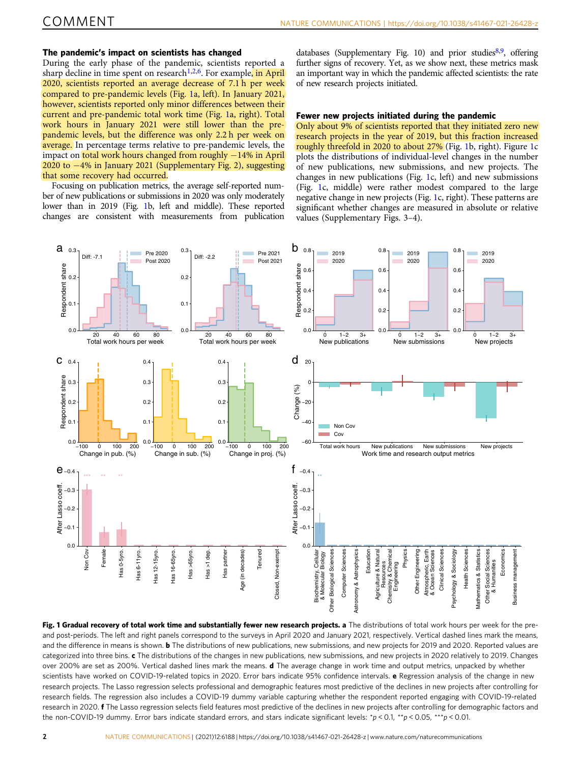# <span id="page-1-0"></span>The pandemic's impact on scientists has changed

During the early phase of the pandemic, scientists reported a sharp decline in time spent on research<sup>[1,2,6](#page-4-0)</sup>. For example, in April 2020, scientists reported an average decrease of 7.1 h per week compared to pre-pandemic levels (Fig. 1a, left). In January 2021, however, scientists reported only minor differences between their current and pre-pandemic total work time (Fig. 1a, right). Total work hours in January 2021 were still lower than the prepandemic levels, but the difference was only 2.2 h per week on average. In percentage terms relative to pre-pandemic levels, the impact on total work hours changed from roughly −14% in April 2020 to −4% in January 2021 (Supplementary Fig. 2), suggesting that some recovery had occurred.

Focusing on publication metrics, the average self-reported number of new publications or submissions in 2020 was only moderately lower than in 2019 (Fig. 1b, left and middle). These reported changes are consistent with measurements from publication

databases (Supplementary Fig. 10) and prior studies $8,9$  $8,9$ , offering further signs of recovery. Yet, as we show next, these metrics mask an important way in which the pandemic affected scientists: the rate of new research projects initiated.

#### Fewer new projects initiated during the pandemic

Only about 9% of scientists reported that they initiated zero new research projects in the year of 2019, but this fraction increased roughly threefold in 2020 to about 27% (Fig. 1b, right). Figure 1c plots the distributions of individual-level changes in the number of new publications, new submissions, and new projects. The changes in new publications (Fig. 1c, left) and new submissions (Fig. 1c, middle) were rather modest compared to the large negative change in new projects (Fig. 1c, right). These patterns are significant whether changes are measured in absolute or relative values (Supplementary Figs. 3–4).



Fig. 1 Gradual recovery of total work time and substantially fewer new research projects. a The distributions of total work hours per week for the preand post-periods. The left and right panels correspond to the surveys in April 2020 and January 2021, respectively. Vertical dashed lines mark the means, and the difference in means is shown. **b** The distributions of new publications, new submissions, and new projects for 2019 and 2020. Reported values are categorized into three bins. c The distributions of the changes in new publications, new submissions, and new projects in 2020 relatively to 2019. Changes over 200% are set as 200%. Vertical dashed lines mark the means. d The average change in work time and output metrics, unpacked by whether scientists have worked on COVID-19-related topics in 2020. Error bars indicate 95% confidence intervals. e Regression analysis of the change in new research projects. The Lasso regression selects professional and demographic features most predictive of the declines in new projects after controlling for research fields. The regression also includes a COVID-19 dummy variable capturing whether the respondent reported engaging with COVID-19-related research in 2020. f The Lasso regression selects field features most predictive of the declines in new projects after controlling for demographic factors and the non-COVID-19 dummy. Error bars indicate standard errors, and stars indicate significant levels: \*p < 0.1, \*\*p < 0.05, \*\*\*p < 0.01.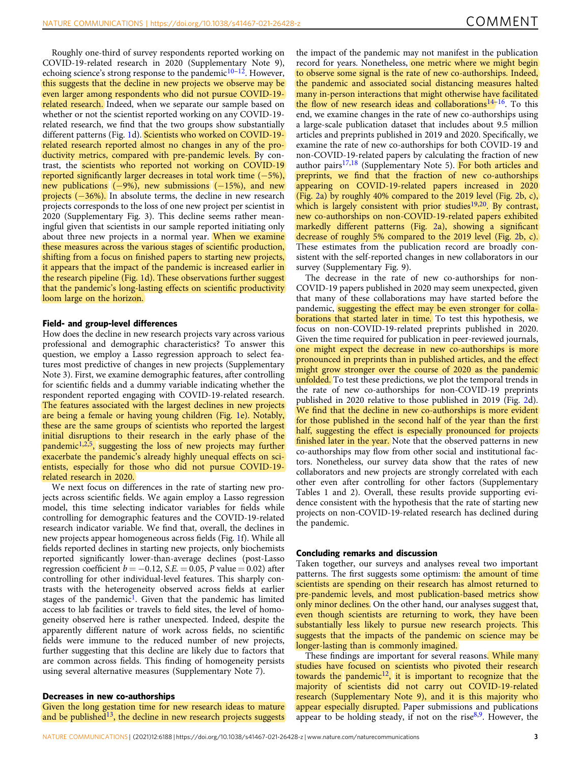Roughly one-third of survey respondents reported working on COVID-19-related research in 2020 (Supplementary Note 9), echoing science's strong response to the pandemic $10^{-12}$  $10^{-12}$  $10^{-12}$  $10^{-12}$ . However, this suggests that the decline in new projects we observe may be even larger among respondents who did not pursue COVID-19 related research. Indeed, when we separate our sample based on whether or not the scientist reported working on any COVID-19 related research, we find that the two groups show substantially different patterns (Fig. [1](#page-1-0)d). Scientists who worked on COVID-19related research reported almost no changes in any of the productivity metrics, compared with pre-pandemic levels. By contrast, the scientists who reported not working on COVID-19 reported significantly larger decreases in total work time (−5%), new publications (−9%), new submissions (−15%), and new projects (−36%). In absolute terms, the decline in new research projects corresponds to the loss of one new project per scientist in 2020 (Supplementary Fig. 3). This decline seems rather meaningful given that scientists in our sample reported initiating only about three new projects in a normal year. When we examine these measures across the various stages of scientific production, shifting from a focus on finished papers to starting new projects, it appears that the impact of the pandemic is increased earlier in the research pipeline (Fig. [1](#page-1-0)d). These observations further suggest that the pandemic's long-lasting effects on scientific productivity loom large on the horizon.

# Field- and group-level differences

How does the decline in new research projects vary across various professional and demographic characteristics? To answer this question, we employ a Lasso regression approach to select features most predictive of changes in new projects (Supplementary Note 3). First, we examine demographic features, after controlling for scientific fields and a dummy variable indicating whether the respondent reported engaging with COVID-19-related research. The features associated with the largest declines in new projects are being a female or having young children (Fig. [1e](#page-1-0)). Notably, these are the same groups of scientists who reported the largest initial disruptions to their research in the early phase of the pandemic<sup>1,2,5</sup>, suggesting the loss of new projects may further exacerbate the pandemic's already highly unequal effects on scientists, especially for those who did not pursue COVID-19 related research in 2020.

We next focus on differences in the rate of starting new projects across scientific fields. We again employ a Lasso regression model, this time selecting indicator variables for fields while controlling for demographic features and the COVID-19-related research indicator variable. We find that, overall, the declines in new projects appear homogeneous across fields (Fig. [1](#page-1-0)f). While all fields reported declines in starting new projects, only biochemists reported significantly lower-than-average declines (post-Lasso regression coefficient  $b = -0.12$ , S.E. = 0.05, P value = 0.02) after controlling for other individual-level features. This sharply contrasts with the heterogeneity observed across fields at earlier stages of the pandemic<sup>1</sup>. Given that the pandemic has limited access to lab facilities or travels to field sites, the level of homogeneity observed here is rather unexpected. Indeed, despite the apparently different nature of work across fields, no scientific fields were immune to the reduced number of new projects, further suggesting that this decline are likely due to factors that are common across fields. This finding of homogeneity persists using several alternative measures (Supplementary Note 7).

## Decreases in new co-authorships

Given the long gestation time for new research ideas to mature and be published $13$ , the decline in new research projects suggests the impact of the pandemic may not manifest in the publication record for years. Nonetheless, one metric where we might begin to observe some signal is the rate of new co-authorships. Indeed, the pandemic and associated social distancing measures halted many in-person interactions that might otherwise have facilitated the flow of new research ideas and collaborations[14](#page-4-0)–[16.](#page-4-0) To this end, we examine changes in the rate of new co-authorships using a large-scale publication dataset that includes about 9.5 million articles and preprints published in 2019 and 2020. Specifically, we examine the rate of new co-authorships for both COVID-19 and non-COVID-19-related papers by calculating the fraction of new author pairs<sup>[17,18](#page-4-0)</sup> (Supplementary Note 5). For both articles and preprints, we find that the fraction of new co-authorships appearing on COVID-19-related papers increased in 2020 (Fig. [2](#page-3-0)a) by roughly 40% compared to the 2019 level (Fig. [2b](#page-3-0), c), which is largely consistent with prior studies<sup>19,20</sup>. By contrast, new co-authorships on non-COVID-19-related papers exhibited markedly different patterns (Fig. [2a](#page-3-0)), showing a significant decrease of roughly 5% compared to the 2019 level (Fig. [2](#page-3-0)b, c). These estimates from the publication record are broadly consistent with the self-reported changes in new collaborators in our survey (Supplementary Fig. 9).

The decrease in the rate of new co-authorships for non-COVID-19 papers published in 2020 may seem unexpected, given that many of these collaborations may have started before the pandemic, suggesting the effect may be even stronger for collaborations that started later in time. To test this hypothesis, we focus on non-COVID-19-related preprints published in 2020. Given the time required for publication in peer-reviewed journals, one might expect the decrease in new co-authorships is more pronounced in preprints than in published articles, and the effect might grow stronger over the course of 2020 as the pandemic unfolded. To test these predictions, we plot the temporal trends in the rate of new co-authorships for non-COVID-19 preprints published in 2020 relative to those published in 2019 (Fig. [2](#page-3-0)d). We find that the decline in new co-authorships is more evident for those published in the second half of the year than the first half, suggesting the effect is especially pronounced for projects finished later in the year. Note that the observed patterns in new co-authorships may flow from other social and institutional factors. Nonetheless, our survey data show that the rates of new collaborators and new projects are strongly correlated with each other even after controlling for other factors (Supplementary Tables 1 and 2). Overall, these results provide supporting evidence consistent with the hypothesis that the rate of starting new projects on non-COVID-19-related research has declined during the pandemic.

#### Concluding remarks and discussion

Taken together, our surveys and analyses reveal two important patterns. The first suggests some optimism: the amount of time scientists are spending on their research has almost returned to pre-pandemic levels, and most publication-based metrics show only minor declines. On the other hand, our analyses suggest that, even though scientists are returning to work, they have been substantially less likely to pursue new research projects. This suggests that the impacts of the pandemic on science may be longer-lasting than is commonly imagined.

These findings are important for several reasons. While many studies have focused on scientists who pivoted their research towards the pandemic<sup>12</sup>, it is important to recognize that the majority of scientists did not carry out COVID-19-related research (Supplementary Note 9), and it is this majority who appear especially disrupted. Paper submissions and publications appear to be holding steady, if not on the rise $8,9$  $8,9$  $8,9$ . However, the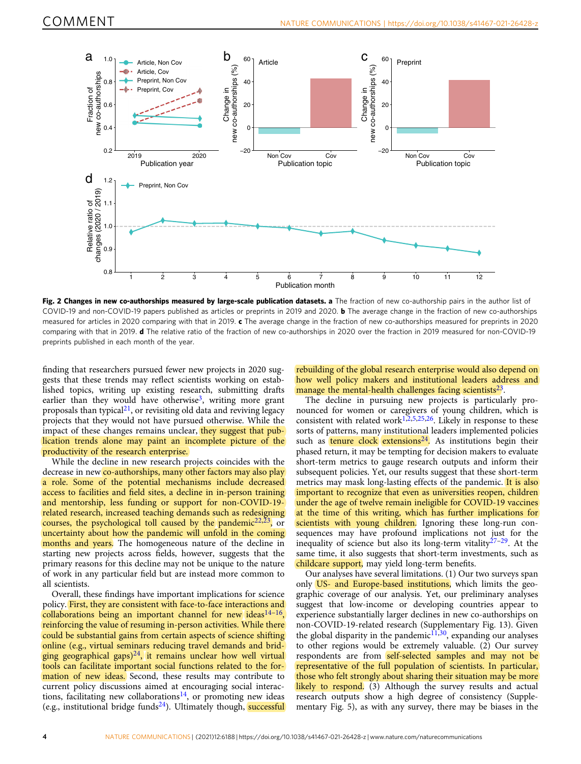<span id="page-3-0"></span>

Fig. 2 Changes in new co-authorships measured by large-scale publication datasets. a The fraction of new co-authorship pairs in the author list of COVID-19 and non-COVID-19 papers published as articles or preprints in 2019 and 2020. b The average change in the fraction of new co-authorships measured for articles in 2020 comparing with that in 2019. c The average change in the fraction of new co-authorships measured for preprints in 2020 comparing with that in 2019. d The relative ratio of the fraction of new co-authorships in 2020 over the fraction in 2019 measured for non-COVID-19 preprints published in each month of the year.

finding that researchers pursued fewer new projects in 2020 suggests that these trends may reflect scientists working on established topics, writing up existing research, submitting drafts earlier than they would have otherwise<sup>[3](#page-4-0)</sup>, writing more grant proposals than typical $21$ , or revisiting old data and reviving legacy projects that they would not have pursued otherwise. While the impact of these changes remains unclear, they suggest that publication trends alone may paint an incomplete picture of the productivity of the research enterprise.

While the decline in new research projects coincides with the decrease in new co-authorships, many other factors may also play a role. Some of the potential mechanisms include decreased access to facilities and field sites, a decline in in-person training and mentorship, less funding or support for non-COVID-19 related research, increased teaching demands such as redesigning courses, the psychological toll caused by the pandemic<sup>[22](#page-4-0),[23](#page-4-0)</sup>, or uncertainty about how the pandemic will unfold in the coming months and years. The homogeneous nature of the decline in starting new projects across fields, however, suggests that the primary reasons for this decline may not be unique to the nature of work in any particular field but are instead more common to all scientists.

Overall, these findings have important implications for science policy. First, they are consistent with face-to-face interactions and collaborations being an important channel for new ideas $14-16$  $14-16$ , reinforcing the value of resuming in-person activities. While there could be substantial gains from certain aspects of science shifting online (e.g., virtual seminars reducing travel demands and bridging geographical gaps) $^{24}$ , it remains unclear how well virtual tools can facilitate important social functions related to the formation of new ideas. Second, these results may contribute to current policy discussions aimed at encouraging social interactions, facilitating new collaborations<sup>14</sup>, or promoting new ideas (e.g., institutional bridge funds $^{24}$ ). Ultimately though, successful

rebuilding of the global research enterprise would also depend on how well policy makers and institutional leaders address and manage the mental-health challenges facing scientists $^{23}$  $^{23}$  $^{23}$ .

The decline in pursuing new projects is particularly pronounced for women or caregivers of young children, which is consistent with related work<sup>[1,2](#page-4-0),[5,25,26](#page-4-0)</sup>. Likely in response to these sorts of patterns, many institutional leaders implemented policies such as  $\tanh$  clock extensions<sup>24</sup>. As institutions begin their phased return, it may be tempting for decision makers to evaluate short-term metrics to gauge research outputs and inform their subsequent policies. Yet, our results suggest that these short-term metrics may mask long-lasting effects of the pandemic. It is also important to recognize that even as universities reopen, children under the age of twelve remain ineligible for COVID-19 vaccines at the time of this writing, which has further implications for scientists with young children. Ignoring these long-run consequences may have profound implications not just for the inequality of science but also its long-term vitality $27-29$  $27-29$ . At the same time, it also suggests that short-term investments, such as childcare support, may yield long-term benefits.

Our analyses have several limitations. (1) Our two surveys span only US- and Europe-based institutions, which limits the geographic coverage of our analysis. Yet, our preliminary analyses suggest that low-income or developing countries appear to experience substantially larger declines in new co-authorships on non-COVID-19-related research (Supplementary Fig. 13). Given the global disparity in the pandemic<sup>11,30</sup>, expanding our analyses to other regions would be extremely valuable. (2) Our survey respondents are from self-selected samples and may not be representative of the full population of scientists. In particular, those who felt strongly about sharing their situation may be more likely to respond. (3) Although the survey results and actual research outputs show a high degree of consistency (Supplementary Fig. 5), as with any survey, there may be biases in the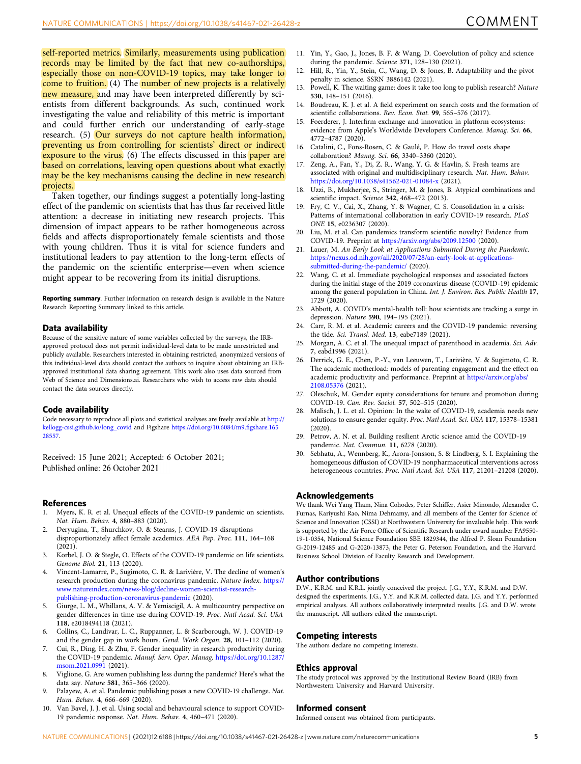<span id="page-4-0"></span>self-reported metrics. Similarly, measurements using publication records may be limited by the fact that new co-authorships, especially those on non-COVID-19 topics, may take longer to come to fruition. (4) The number of new projects is a relatively new measure, and may have been interpreted differently by scientists from different backgrounds. As such, continued work investigating the value and reliability of this metric is important and could further enrich our understanding of early-stage research. (5) Our surveys do not capture health information, preventing us from controlling for scientists' direct or indirect exposure to the virus. (6) The effects discussed in this paper are based on correlations, leaving open questions about what exactly may be the key mechanisms causing the decline in new research projects.

Taken together, our findings suggest a potentially long-lasting effect of the pandemic on scientists that has thus far received little attention: a decrease in initiating new research projects. This dimension of impact appears to be rather homogeneous across fields and affects disproportionately female scientists and those with young children. Thus it is vital for science funders and institutional leaders to pay attention to the long-term effects of the pandemic on the scientific enterprise—even when science might appear to be recovering from its initial disruptions.

Reporting summary. Further information on research design is available in the Nature Research Reporting Summary linked to this article.

#### Data availability

Because of the sensitive nature of some variables collected by the surveys, the IRBapproved protocol does not permit individual-level data to be made unrestricted and publicly available. Researchers interested in obtaining restricted, anonymized versions of this individual-level data should contact the authors to inquire about obtaining an IRBapproved institutional data sharing agreement. This work also uses data sourced from Web of Science and Dimensions.ai. Researchers who wish to access raw data should contact the data sources directly.

#### Code availability

Code necessary to reproduce all plots and statistical analyses are freely available at [http://](http://kellogg-cssi.github.io/long_covid) [kellogg-cssi.github.io/long\\_covid](http://kellogg-cssi.github.io/long_covid) and Figshare [https://doi.org/10.6084/m9.](https://doi.org/10.6084/m9.figshare.16528557)figshare.165 [28557](https://doi.org/10.6084/m9.figshare.16528557).

Received: 15 June 2021; Accepted: 6 October 2021; Published online: 26 October 2021

#### References

- 1. Myers, K. R. et al. Unequal effects of the COVID-19 pandemic on scientists. Nat. Hum. Behav. 4, 880–883 (2020).
- 2. Deryugina, T., Shurchkov, O. & Stearns, J. COVID-19 disruptions disproportionately affect female academics. AEA Pap. Proc. 111, 164–168 (2021).
- 3. Korbel, J. O. & Stegle, O. Effects of the COVID-19 pandemic on life scientists. Genome Biol. 21, 113 (2020).
- 4. Vincent-Lamarre, P., Sugimoto, C. R. & Larivière, V. The decline of women's research production during the coronavirus pandemic. Nature Index. [https://](https://www.natureindex.com/news-blog/decline-women-scientist-research-publishing-production-coronavirus-pandemic) [www.natureindex.com/news-blog/decline-women-scientist-research](https://www.natureindex.com/news-blog/decline-women-scientist-research-publishing-production-coronavirus-pandemic)[publishing-production-coronavirus-pandemic](https://www.natureindex.com/news-blog/decline-women-scientist-research-publishing-production-coronavirus-pandemic) (2020).
- 5. Giurge, L. M., Whillans, A. V. & Yemiscigil, A. A multicountry perspective on gender differences in time use during COVID-19. Proc. Natl Acad. Sci. USA 118, e2018494118 (2021).
- 6. Collins, C., Landivar, L. C., Ruppanner, L. & Scarborough, W. J. COVID-19 and the gender gap in work hours. Gend. Work Organ. 28, 101–112 (2020).
- 7. Cui, R., Ding, H. & Zhu, F. Gender inequality in research productivity during the COVID-19 pandemic. Manuf. Serv. Oper. Manag. [https://doi.org/10.1287/](https://doi.org/10.1287/msom.2021.0991) [msom.2021.0991](https://doi.org/10.1287/msom.2021.0991) (2021).
- 8. Viglione, G. Are women publishing less during the pandemic? Here's what the data say. Nature 581, 365–366 (2020).
- 9. Palayew, A. et al. Pandemic publishing poses a new COVID-19 challenge. Nat. Hum. Behav. 4, 666–669 (2020).
- 10. Van Bavel, J. J. et al. Using social and behavioural science to support COVID-19 pandemic response. Nat. Hum. Behav. 4, 460–471 (2020).
- 11. Yin, Y., Gao, J., Jones, B. F. & Wang, D. Coevolution of policy and science during the pandemic. Science 371, 128–130 (2021).
- 12. Hill, R., Yin, Y., Stein, C., Wang, D. & Jones, B. Adaptability and the pivot penalty in science. SSRN 3886142 (2021).
- 13. Powell, K. The waiting game: does it take too long to publish research? Nature 530, 148–151 (2016).
- 14. Boudreau, K. J. et al. A field experiment on search costs and the formation of scientific collaborations. Rev. Econ. Stat. 99, 565-576 (2017).
- 15. Foerderer, J. Interfirm exchange and innovation in platform ecosystems: evidence from Apple's Worldwide Developers Conference. Manag. Sci. 66, 4772–4787 (2020).
- 16. Catalini, C., Fons-Rosen, C. & Gaulé, P. How do travel costs shape collaboration? Manag. Sci. 66, 3340–3360 (2020).
- 17. Zeng, A., Fan, Y., Di, Z. R., Wang, Y. G. & Havlin, S. Fresh teams are associated with original and multidisciplinary research. Nat. Hum. Behav. <https://doi.org/10.1038/s41562-021-01084-x> (2021).
- 18. Uzzi, B., Mukherjee, S., Stringer, M. & Jones, B. Atypical combinations and scientific impact. Science 342, 468–472 (2013).
- 19. Fry, C. V., Cai, X., Zhang, Y. & Wagner, C. S. Consolidation in a crisis: Patterns of international collaboration in early COVID-19 research. PLoS ONE 15, e0236307 (2020).
- 20. Liu, M. et al. Can pandemics transform scientific novelty? Evidence from COVID-19. Preprint at <https://arxiv.org/abs/2009.12500> (2020).
- Lauer, M. An Early Look at Applications Submitted During the Pandemic. [https://nexus.od.nih.gov/all/2020/07/28/an-early-look-at-applications](https://nexus.od.nih.gov/all/2020/07/28/an-early-look-at-applications-submitted-during-the-pandemic/)[submitted-during-the-pandemic/](https://nexus.od.nih.gov/all/2020/07/28/an-early-look-at-applications-submitted-during-the-pandemic/) (2020).
- 22. Wang, C. et al. Immediate psychological responses and associated factors during the initial stage of the 2019 coronavirus disease (COVID-19) epidemic among the general population in China. Int. J. Environ. Res. Public Health 17, 1729 (2020).
- 23. Abbott, A. COVID's mental-health toll: how scientists are tracking a surge in depression. Nature 590, 194–195 (2021).
- 24. Carr, R. M. et al. Academic careers and the COVID-19 pandemic: reversing the tide. Sci. Transl. Med. 13, eabe7189 (2021).
- 25. Morgan, A. C. et al. The unequal impact of parenthood in academia. Sci. Adv. 7, eabd1996 (2021).
- 26. Derrick, G. E., Chen, P.-Y., van Leeuwen, T., Larivière, V. & Sugimoto, C. R. The academic motherload: models of parenting engagement and the effect on academic productivity and performance. Preprint at [https://arxiv.org/abs/](https://arxiv.org/abs/2108.05376) [2108.05376](https://arxiv.org/abs/2108.05376) (2021).
- 27. Oleschuk, M. Gender equity considerations for tenure and promotion during COVID‐19. Can. Rev. Sociol. 57, 502–515 (2020).
- 28. Malisch, J. L. et al. Opinion: In the wake of COVID-19, academia needs new solutions to ensure gender equity. Proc. Natl Acad. Sci. USA 117, 15378–15381 (2020).
- 29. Petrov, A. N. et al. Building resilient Arctic science amid the COVID-19 pandemic. Nat. Commun. 11, 6278 (2020).
- 30. Sebhatu, A., Wennberg, K., Arora-Jonsson, S. & Lindberg, S. I. Explaining the homogeneous diffusion of COVID-19 nonpharmaceutical interventions across heterogeneous countries. Proc. Natl Acad. Sci. USA 117, 21201–21208 (2020).

### Acknowledgements

We thank Wei Yang Tham, Nina Cohodes, Peter Schiffer, Asier Minondo, Alexander C. Furnas, Kariyushi Rao, Nima Dehmamy, and all members of the Center for Science of Science and Innovation (CSSI) at Northwestern University for invaluable help. This work is supported by the Air Force Office of Scientific Research under award number FA9550-19-1-0354, National Science Foundation SBE 1829344, the Alfred P. Sloan Foundation G-2019-12485 and G-2020-13873, the Peter G. Peterson Foundation, and the Harvard Business School Division of Faculty Research and Development.

#### Author contributions

D.W., K.R.M. and K.R.L. jointly conceived the project. J.G., Y.Y., K.R.M. and D.W. designed the experiments. J.G., Y.Y. and K.R.M. collected data. J.G. and Y.Y. performed empirical analyses. All authors collaboratively interpreted results. J.G. and D.W. wrote the manuscript. All authors edited the manuscript.

#### Competing interests

The authors declare no competing interests.

#### Ethics approval

The study protocol was approved by the Institutional Review Board (IRB) from Northwestern University and Harvard University.

#### Informed consent

Informed consent was obtained from participants.